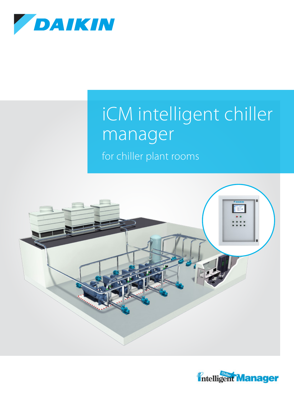

# iCM intelligent chiller manager

for chiller plant rooms



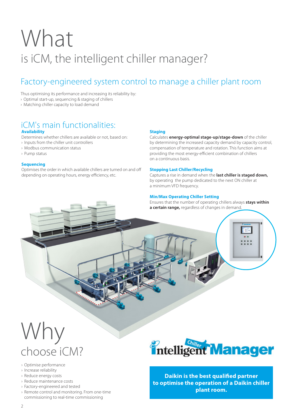# What is iCM, the intelligent chiller manager?

### Factory-engineered system control to manage a chiller plant room

Thus optimising its performance and increasing its reliability by:

- › Optimal start-up, sequencing & staging of chillers
- › Matching chiller capacity to load demand

#### **Availability** iCM's main functionalities:

Determines whether chillers are available or not, based on:

- › Inputs from the chiller unit controllers
- › Modbus communication status
- › Pump status

#### **Sequencing**

Optimises the order in which available chillers are turned on and off depending on operating hours, energy efficiency, etc.

#### **Staging**

Calculates **energy-optimal stage-up/stage-down** of the chiller by determining the increased capacity demand by capacity control, compensation of temperature and rotation. This function aims at providing the most energy-efficient combination of chillers on a continuous basis.

#### **Stopping Last Chiller/Recycling**

Captures a rise in demand when the **last chiller is staged down,** by operating the pump dedicated to the next ON chiller at a minimum VFD frequency.

#### **Min/Max Operating Chiller Setting**

Ensures that the number of operating chillers always **stays within a certain range,** regardless of changes in demand.

## Why choose iCM?

- › Optimise performance
- › Increase reliability
- › Reduce energy costs
- › Reduce maintenance costs
- › Factory-engineered and tested
- › Remote control and monitoring. From one-time commissioning to real-time commissioning



**Daikin is the best qualified partner to optimise the operation of a Daikin chiller plant room.**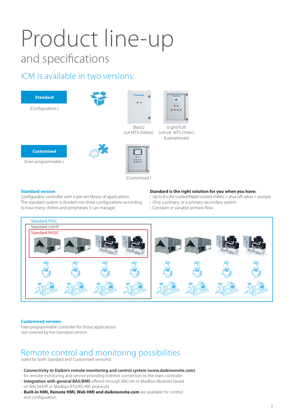# Product line-up and specifications

### iCM is available in two versions:





(Light/Full) (≤4/≤8 MT3 chillers & peripherals)



(Free-programmable )





(Customised )

#### **Standard version**

Configurable controller with a pre-set library of applications. The standard system is divided into three configurations according to how many chillers and peripherals it can manage.

#### **Standard is the right solution for you when you have:**

- › Up to 8 x (Air-cooled/Water-cooled chillers + shut-off valves + pumps)
- › Only a primary, or a primary-secondary system
- › Constant or variable primary flow



#### **Customised version:**

Free-programmable controller for those applications not covered by the Standard version.

### Remote control and monitoring possibilities

(valid for both Standard and Customised versions)

- › **Connectivity to Daikin's remote monitoring and control system (www.daikinonsite.com)**  for remote monitoring and service providing Internet connection to the main controller
- › **Integration with general BAS/BMS** offered through BACnet or Modbus Modules based on BACnet/IP or Modbus RTU/RS-485 protocols
- › **Built-in HMI, Remote HMI, Web HMI and daikinonsite.com** are available for control and configuration